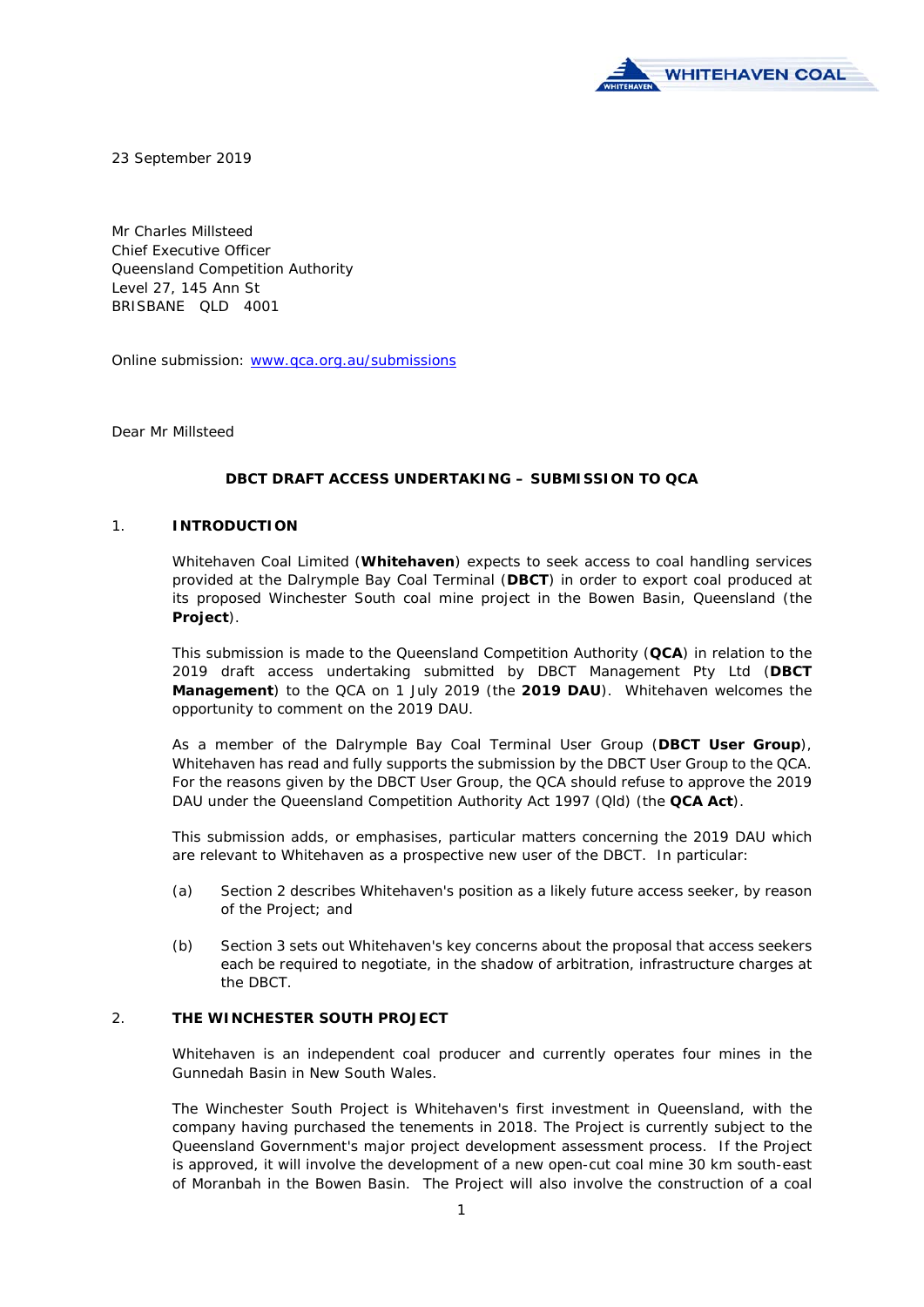

23 September 2019

Mr Charles Millsteed Chief Executive Officer Queensland Competition Authority Level 27, 145 Ann St BRISBANE QLD 4001

Online submission: www.qca.org.au/submissions

Dear Mr Millsteed

### **DBCT DRAFT ACCESS UNDERTAKING – SUBMISSION TO QCA**

### 1. **INTRODUCTION**

Whitehaven Coal Limited (**Whitehaven**) expects to seek access to coal handling services provided at the Dalrymple Bay Coal Terminal (**DBCT**) in order to export coal produced at its proposed Winchester South coal mine project in the Bowen Basin, Queensland (the **Project**).

This submission is made to the Queensland Competition Authority (**QCA**) in relation to the 2019 draft access undertaking submitted by DBCT Management Pty Ltd (**DBCT Management**) to the QCA on 1 July 2019 (the **2019 DAU**). Whitehaven welcomes the opportunity to comment on the 2019 DAU.

As a member of the Dalrymple Bay Coal Terminal User Group (**DBCT User Group**), Whitehaven has read and fully supports the submission by the DBCT User Group to the QCA. For the reasons given by the DBCT User Group, the QCA should refuse to approve the 2019 DAU under the *Queensland Competition Authority Act 1997* (Qld) (the **QCA Act**).

This submission adds, or emphasises, particular matters concerning the 2019 DAU which are relevant to Whitehaven as a prospective new user of the DBCT. In particular:

- (a) Section 2 describes Whitehaven's position as a likely future access seeker, by reason of the Project; and
- (b) Section 3 sets out Whitehaven's key concerns about the proposal that access seekers each be required to negotiate, in the shadow of arbitration, infrastructure charges at the DBCT.

### 2. **THE WINCHESTER SOUTH PROJECT**

Whitehaven is an independent coal producer and currently operates four mines in the Gunnedah Basin in New South Wales.

The Winchester South Project is Whitehaven's first investment in Queensland, with the company having purchased the tenements in 2018. The Project is currently subject to the Queensland Government's major project development assessment process. If the Project is approved, it will involve the development of a new open-cut coal mine 30 km south-east of Moranbah in the Bowen Basin. The Project will also involve the construction of a coal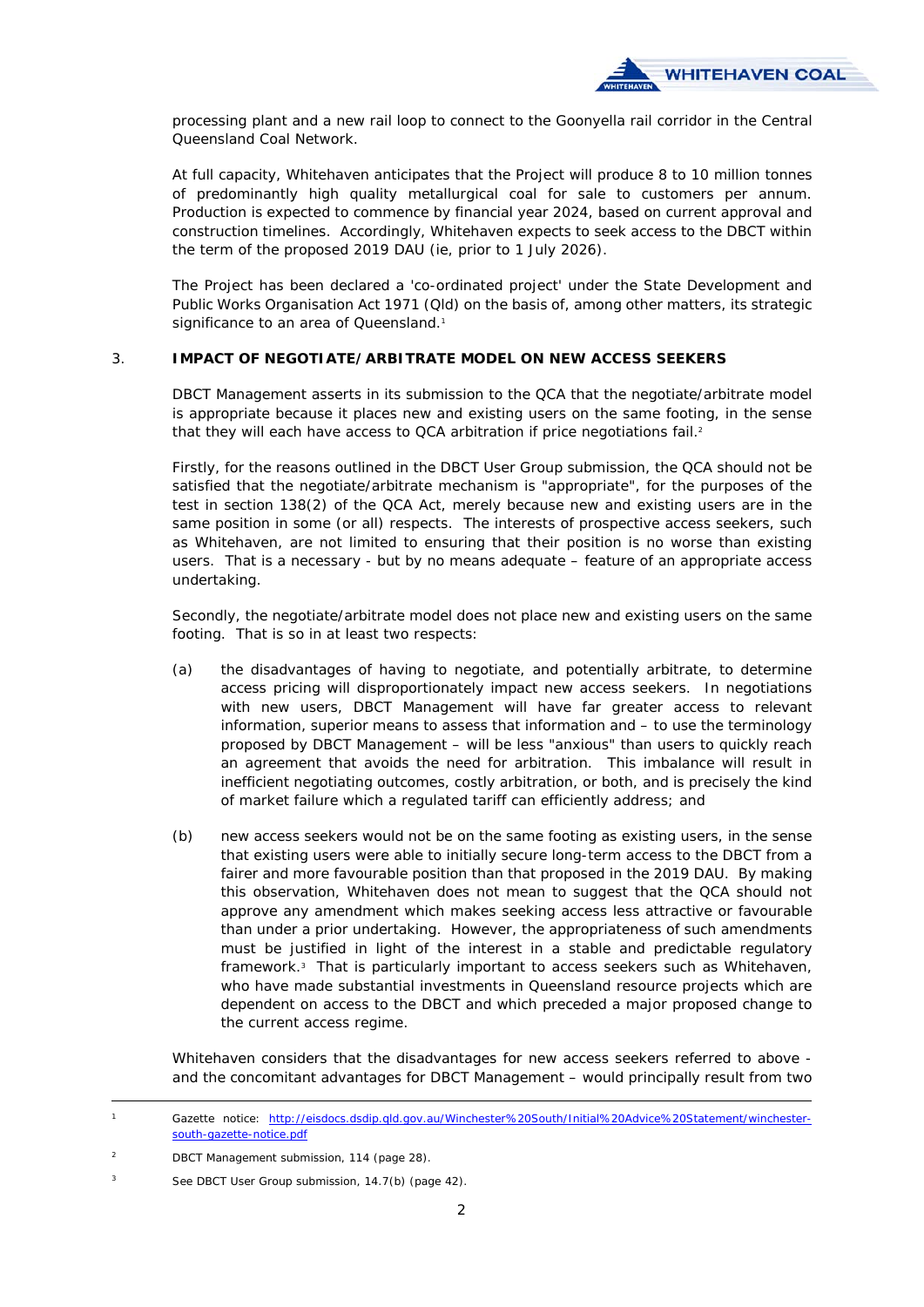

processing plant and a new rail loop to connect to the Goonyella rail corridor in the Central Queensland Coal Network.

At full capacity, Whitehaven anticipates that the Project will produce 8 to 10 million tonnes of predominantly high quality metallurgical coal for sale to customers per annum. Production is expected to commence by financial year 2024, based on current approval and construction timelines. Accordingly, Whitehaven expects to seek access to the DBCT within the term of the proposed 2019 DAU (ie, prior to 1 July 2026).

The Project has been declared a 'co-ordinated project' under the *State Development and Public Works Organisation Act 1971* (Qld) on the basis of, among other matters, its strategic significance to an area of Queensland.<sup>1</sup>

# 3. **IMPACT OF NEGOTIATE/ARBITRATE MODEL ON NEW ACCESS SEEKERS**

DBCT Management asserts in its submission to the QCA that the negotiate/arbitrate model is appropriate because it places new and existing users on the same footing, in the sense that they will each have access to QCA arbitration if price negotiations fail.<sup>2</sup>

Firstly, for the reasons outlined in the DBCT User Group submission, the QCA should not be satisfied that the negotiate/arbitrate mechanism is "appropriate", for the purposes of the test in section 138(2) of the QCA Act, merely because new and existing users are in the same position in some (or all) respects. The interests of prospective access seekers, such as Whitehaven, are not limited to ensuring that their position is no worse than existing users. That is a necessary - but by no means adequate – feature of an appropriate access undertaking.

Secondly, the negotiate/arbitrate model does not place new and existing users on the same footing. That is so in at least two respects:

- (a) the disadvantages of having to negotiate, and potentially arbitrate, to determine access pricing will disproportionately impact new access seekers. In negotiations with new users, DBCT Management will have far greater access to relevant information, superior means to assess that information and – to use the terminology proposed by DBCT Management – will be less "anxious" than users to quickly reach an agreement that avoids the need for arbitration. This imbalance will result in inefficient negotiating outcomes, costly arbitration, or both, and is precisely the kind of market failure which a regulated tariff can efficiently address; and
- (b) new access seekers would not be on the same footing as existing users, in the sense that existing users were able to initially secure long-term access to the DBCT from a fairer and more favourable position than that proposed in the 2019 DAU. By making this observation, Whitehaven does not mean to suggest that the QCA should not approve any amendment which makes seeking access less attractive or favourable than under a prior undertaking. However, the appropriateness of such amendments must be justified in light of the interest in a stable and predictable regulatory framework.3 That is particularly important to access seekers such as Whitehaven, who have made substantial investments in Queensland resource projects which are dependent on access to the DBCT and which preceded a major proposed change to the current access regime.

Whitehaven considers that the disadvantages for new access seekers referred to above and the concomitant advantages for DBCT Management – would principally result from two

Gazette notice: http://eisdocs.dsdip.qld.gov.au/Winchester%20South/Initial%20Advice%20Statement/winchestersouth-gazette-notice.pdf

<sup>2</sup> DBCT Management submission, 114 (page 28).

<sup>3</sup> See DBCT User Group submission, 14.7(b) (page 42).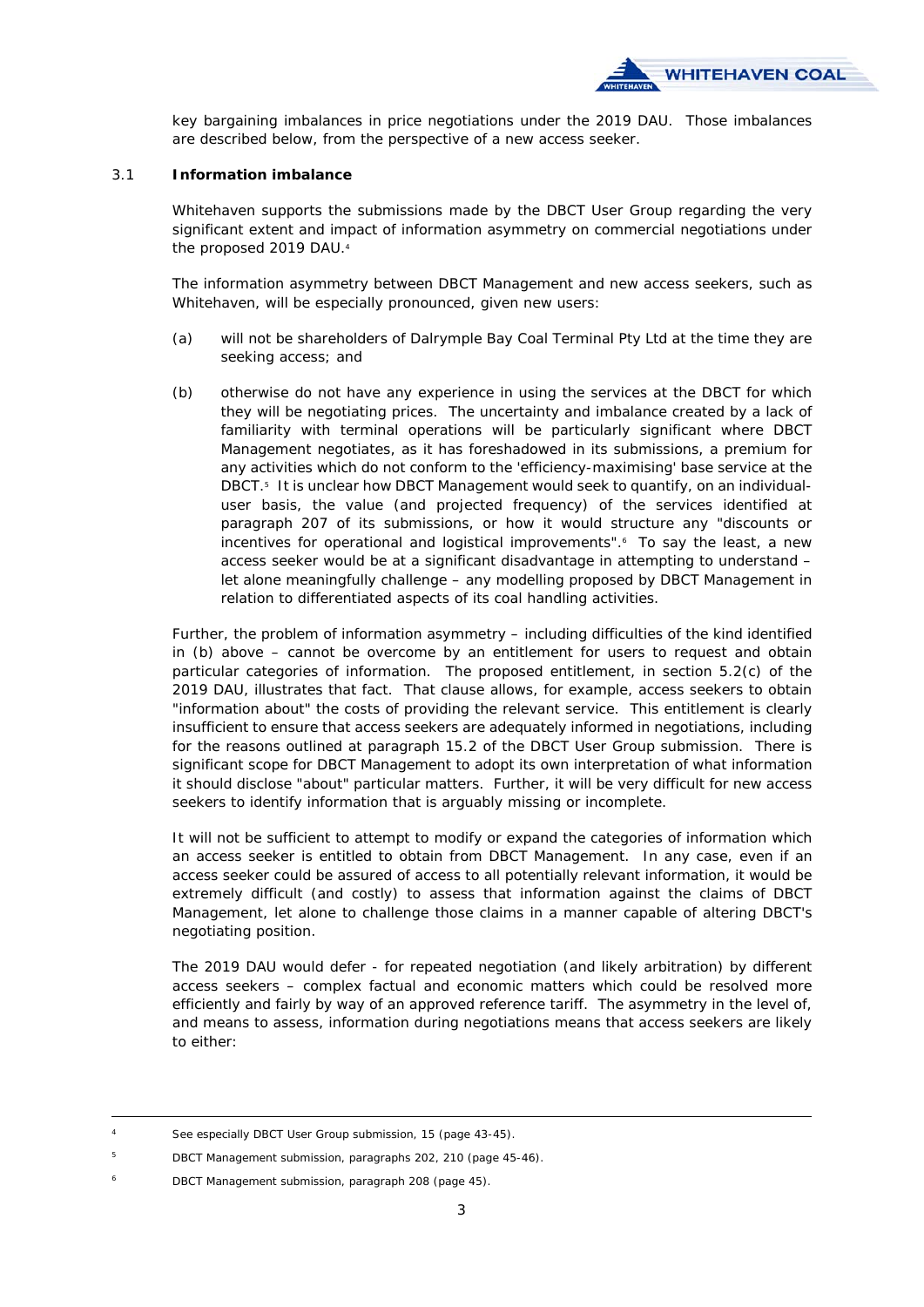

key bargaining imbalances in price negotiations under the 2019 DAU. Those imbalances are described below, from the perspective of a new access seeker.

### 3.1 **Information imbalance**

Whitehaven supports the submissions made by the DBCT User Group regarding the very significant extent and impact of information asymmetry on commercial negotiations under the proposed 2019 DAU.4

The information asymmetry between DBCT Management and new access seekers, such as Whitehaven, will be especially pronounced, given new users:

- (a) will not be shareholders of Dalrymple Bay Coal Terminal Pty Ltd at the time they are seeking access; and
- (b) otherwise do not have any experience in using the services at the DBCT for which they will be negotiating prices. The uncertainty and imbalance created by a lack of familiarity with terminal operations will be particularly significant where DBCT Management negotiates, as it has foreshadowed in its submissions, a premium for any activities which do not conform to the 'efficiency-maximising' base service at the DBCT.5 It is unclear how DBCT Management would seek to quantify, on an individualuser basis, the value (and projected frequency) of the services identified at paragraph 207 of its submissions, or how it would structure any "*discounts or incentives for operational and logistical improvements*".<sup>6</sup> To say the least, a new access seeker would be at a significant disadvantage in attempting to understand – let alone meaningfully challenge – any modelling proposed by DBCT Management in relation to differentiated aspects of its coal handling activities.

Further, the problem of information asymmetry – including difficulties of the kind identified in (b) above – cannot be overcome by an entitlement for users to request and obtain particular categories of information. The proposed entitlement, in section 5.2(c) of the 2019 DAU, illustrates that fact. That clause allows, for example, access seekers to obtain "*information about*" the costs of providing the relevant service. This entitlement is clearly insufficient to ensure that access seekers are adequately informed in negotiations, including for the reasons outlined at paragraph 15.2 of the DBCT User Group submission. There is significant scope for DBCT Management to adopt its own interpretation of what information it should disclose "about" particular matters. Further, it will be very difficult for new access seekers to identify information that is arguably missing or incomplete.

It will not be sufficient to attempt to modify or expand the categories of information which an access seeker is entitled to obtain from DBCT Management. In any case, even if an access seeker could be assured of access to all potentially relevant information, it would be extremely difficult (and costly) to assess that information against the claims of DBCT Management, let alone to challenge those claims in a manner capable of altering DBCT's negotiating position.

The 2019 DAU would defer - for repeated negotiation (and likely arbitration) by different access seekers – complex factual and economic matters which could be resolved more efficiently and fairly by way of an approved reference tariff. The asymmetry in the level of, and means to assess, information during negotiations means that access seekers are likely to either:

6 DBCT Management submission, paragraph 208 (page 45).

See especially DBCT User Group submission, 15 (page 43-45).

<sup>5</sup> DBCT Management submission, paragraphs 202, 210 (page 45-46).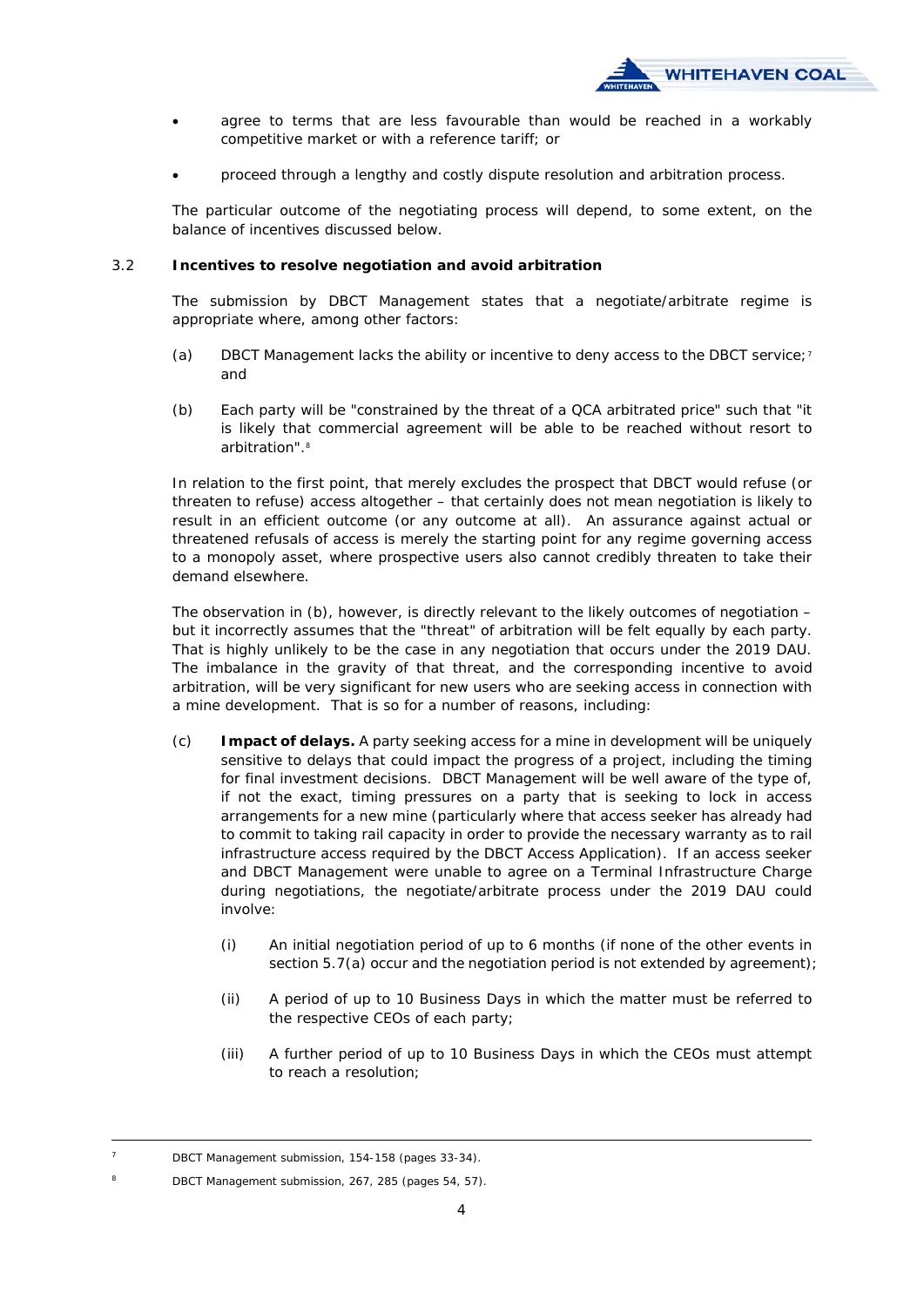

- agree to terms that are less favourable than would be reached in a workably competitive market or with a reference tariff; or
- proceed through a lengthy and costly dispute resolution and arbitration process.

The particular outcome of the negotiating process will depend, to some extent, on the balance of incentives discussed below.

## 3.2 **Incentives to resolve negotiation and avoid arbitration**

The submission by DBCT Management states that a negotiate/arbitrate regime is appropriate where, among other factors:

- (a) DBCT Management lacks the ability or incentive to deny access to the DBCT service;<sup>7</sup> and
- (b) Each party will be "*constrained by the threat of a QCA arbitrated price*" such that "*it is likely that commercial agreement will be able to be reached without resort to arbitration*".8

In relation to the first point, that merely excludes the prospect that DBCT would refuse (or threaten to refuse) access altogether – that certainly does not mean negotiation is likely to result in an efficient outcome (or any outcome at all). An assurance against actual or threatened refusals of access is merely the starting point for any regime governing access to a monopoly asset, where prospective users also cannot credibly threaten to take their demand elsewhere.

The observation in (b), however, is directly relevant to the likely outcomes of negotiation  $$ but it incorrectly assumes that the "threat" of arbitration will be felt equally by each party. That is highly unlikely to be the case in any negotiation that occurs under the 2019 DAU. The imbalance in the gravity of that threat, and the corresponding incentive to avoid arbitration, will be very significant for new users who are seeking access in connection with a mine development. That is so for a number of reasons, including:

- (c) **Impact of delays.** A party seeking access for a mine in development will be uniquely sensitive to delays that could impact the progress of a project, including the timing for final investment decisions. DBCT Management will be well aware of the type of, if not the exact, timing pressures on a party that is seeking to lock in access arrangements for a new mine (particularly where that access seeker has already had to commit to taking rail capacity in order to provide the necessary warranty as to rail infrastructure access required by the DBCT Access Application). If an access seeker and DBCT Management were unable to agree on a Terminal Infrastructure Charge during negotiations, the negotiate/arbitrate process under the 2019 DAU could involve:
	- (i) An initial negotiation period of up to 6 months (if none of the other events in section 5.7(a) occur and the negotiation period is not extended by agreement);
	- (ii) A period of up to 10 Business Days in which the matter must be referred to the respective CEOs of each party;
	- (iii) A further period of up to 10 Business Days in which the CEOs must attempt to reach a resolution;

DBCT Management submission, 154-158 (pages 33-34).

DBCT Management submission, 267, 285 (pages 54, 57).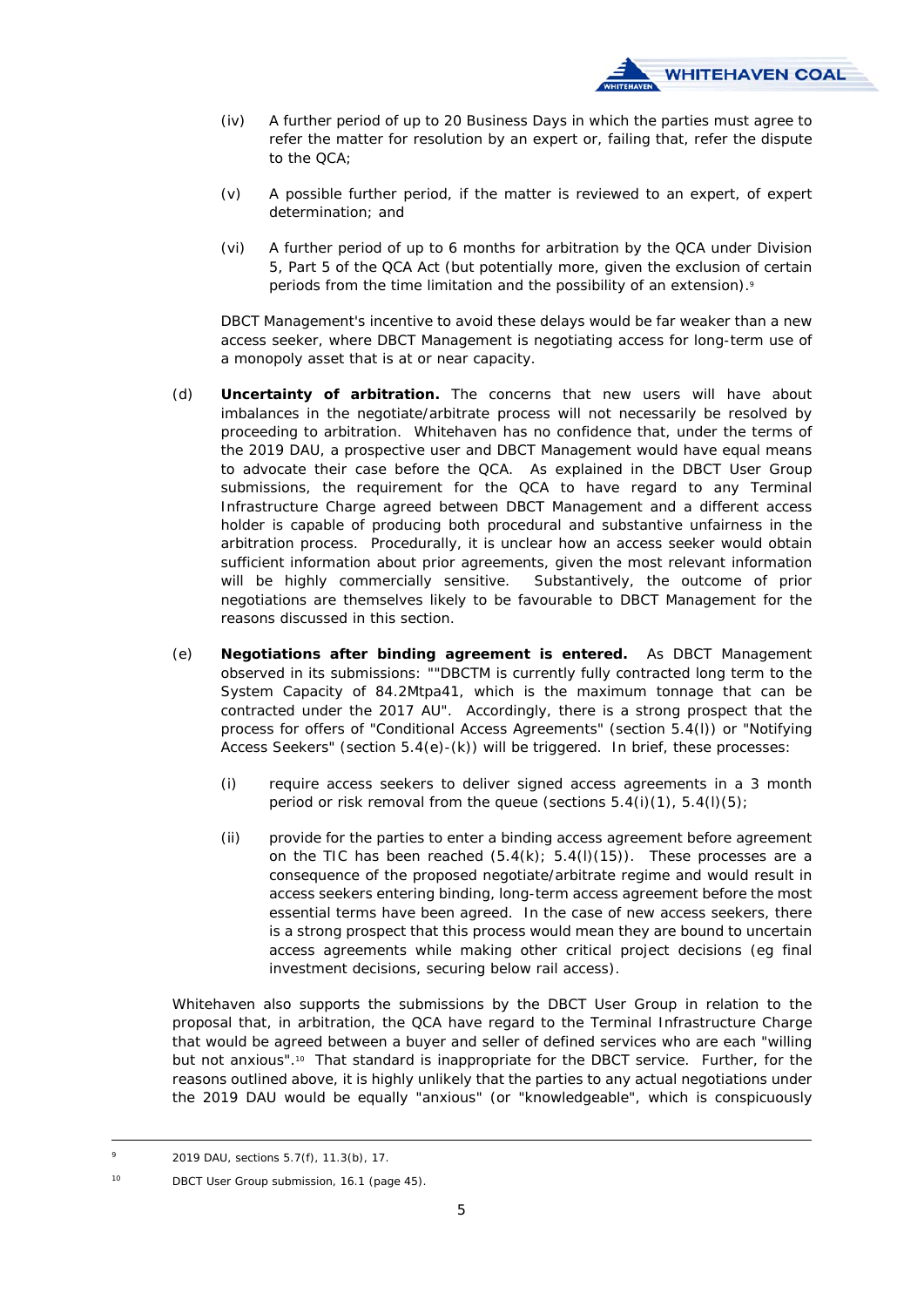

- (iv) A further period of up to 20 Business Days in which the parties must agree to refer the matter for resolution by an expert or, failing that, refer the dispute to the QCA;
- (v) A possible further period, if the matter is reviewed to an expert, of expert determination; and
- (vi) A further period of up to 6 months for arbitration by the QCA under Division 5, Part 5 of the QCA Act (but potentially more, given the exclusion of certain periods from the time limitation and the possibility of an extension).<sup>9</sup>

DBCT Management's incentive to avoid these delays would be far weaker than a new access seeker, where DBCT Management is negotiating access for long-term use of a monopoly asset that is at or near capacity.

- (d) **Uncertainty of arbitration.** The concerns that new users will have about imbalances in the negotiate/arbitrate process will not necessarily be resolved by proceeding to arbitration. Whitehaven has no confidence that, under the terms of the 2019 DAU, a prospective user and DBCT Management would have equal means to advocate their case before the QCA. As explained in the DBCT User Group submissions, the requirement for the QCA to have regard to any Terminal Infrastructure Charge agreed between DBCT Management and a different access holder is capable of producing both procedural and substantive unfairness in the arbitration process. Procedurally, it is unclear how an access seeker would obtain sufficient information about prior agreements, given the most relevant information will be highly commercially sensitive. Substantively, the outcome of prior negotiations are themselves likely to be favourable to DBCT Management for the reasons discussed in this section.
- (e) **Negotiations after binding agreement is entered.** As DBCT Management observed in its submissions: ""*DBCTM is currently fully contracted long term to the System Capacity of 84.2Mtpa41, which is the maximum tonnage that can be contracted under the 2017 AU".* Accordingly, there is a strong prospect that the process for offers of "Conditional Access Agreements" (section 5.4(l)) or "Notifying Access Seekers" (section 5.4(e)-(k)) will be triggered. In brief, these processes:
	- (i) require access seekers to deliver signed access agreements in a 3 month period or risk removal from the queue (sections  $5.4(i)(1)$ ,  $5.4(i)(5)$ ;
	- (ii) provide for the parties to enter a binding access agreement before agreement on the TIC has been reached  $(5.4(k); 5.4(l)(15))$ . These processes are a consequence of the proposed negotiate/arbitrate regime and would result in access seekers entering binding, long-term access agreement before the most essential terms have been agreed. In the case of new access seekers, there is a strong prospect that this process would mean they are bound to uncertain access agreements while making other critical project decisions (eg final investment decisions, securing below rail access).

Whitehaven also supports the submissions by the DBCT User Group in relation to the proposal that, in arbitration, the QCA have regard to the Terminal Infrastructure Charge that would be agreed between a buyer and seller of defined services who are each "willing but not anxious".<sup>10</sup> That standard is inappropriate for the DBCT service. Further, for the reasons outlined above, it is highly unlikely that the parties to any actual negotiations under the 2019 DAU would be equally "anxious" (or "knowledgeable", which is conspicuously

 <sup>9 2019</sup> DAU, sections 5.7(f), 11.3(b), 17.

<sup>10</sup> DBCT User Group submission, 16.1 (page 45).